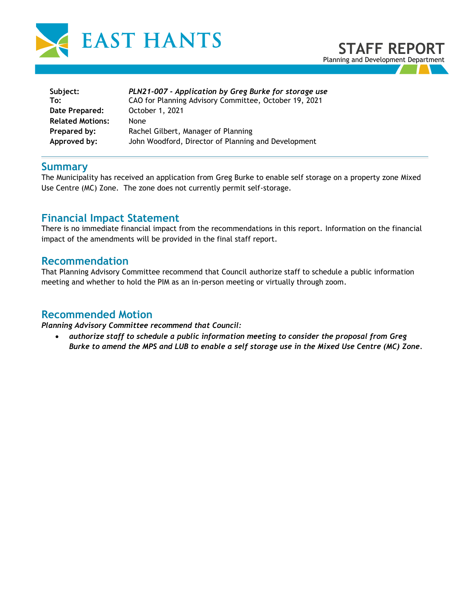



| Subject:                | PLN21-007 - Application by Greg Burke for storage use |
|-------------------------|-------------------------------------------------------|
| To:                     | CAO for Planning Advisory Committee, October 19, 2021 |
| Date Prepared:          | October 1, 2021                                       |
| <b>Related Motions:</b> | <b>None</b>                                           |
| Prepared by:            | Rachel Gilbert, Manager of Planning                   |
| Approved by:            | John Woodford, Director of Planning and Development   |

#### **Summary**

The Municipality has received an application from Greg Burke to enable self storage on a property zone Mixed Use Centre (MC) Zone. The zone does not currently permit self-storage.

## **Financial Impact Statement**

There is no immediate financial impact from the recommendations in this report. Information on the financial impact of the amendments will be provided in the final staff report.

### **Recommendation**

That Planning Advisory Committee recommend that Council authorize staff to schedule a public information meeting and whether to hold the PIM as an in-person meeting or virtually through zoom.

### **Recommended Motion**

*Planning Advisory Committee recommend that Council:* 

• *authorize staff to schedule a public information meeting to consider the proposal from Greg Burke to amend the MPS and LUB to enable a self storage use in the Mixed Use Centre (MC) Zone.*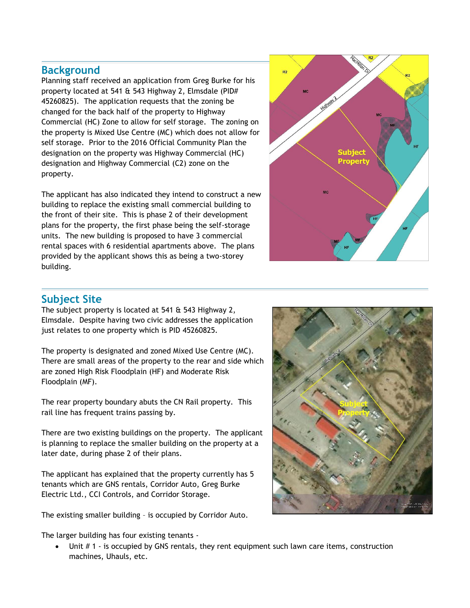### **Background**

Planning staff received an application from Greg Burke for his property located at 541 & 543 Highway 2, Elmsdale (PID# 45260825). The application requests that the zoning be changed for the back half of the property to Highway Commercial (HC) Zone to allow for self storage. The zoning on the property is Mixed Use Centre (MC) which does not allow for self storage. Prior to the 2016 Official Community Plan the designation on the property was Highway Commercial (HC) designation and Highway Commercial (C2) zone on the property.

The applicant has also indicated they intend to construct a new building to replace the existing small commercial building to the front of their site. This is phase 2 of their development plans for the property, the first phase being the self-storage units. The new building is proposed to have 3 commercial rental spaces with 6 residential apartments above. The plans provided by the applicant shows this as being a two-storey building.



# **Subject Site**

The subject property is located at 541 & 543 Highway 2, Elmsdale. Despite having two civic addresses the application just relates to one property which is PID 45260825.

The property is designated and zoned Mixed Use Centre (MC). There are small areas of the property to the rear and side which are zoned High Risk Floodplain (HF) and Moderate Risk Floodplain (MF).

The rear property boundary abuts the CN Rail property. This rail line has frequent trains passing by.

There are two existing buildings on the property. The applicant is planning to replace the smaller building on the property at a later date, during phase 2 of their plans.

The applicant has explained that the property currently has 5 tenants which are GNS rentals, Corridor Auto, Greg Burke Electric Ltd., CCI Controls, and Corridor Storage.

The existing smaller building – is occupied by Corridor Auto.

The larger building has four existing tenants -



Unit # 1 - is occupied by GNS rentals, they rent equipment such lawn care items, construction machines, Uhauls, etc.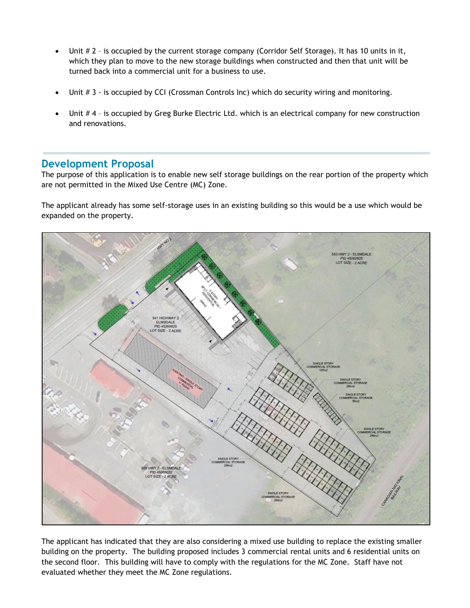- Unit # 2 is occupied by the current storage company (Corridor Self Storage). It has 10 units in it, which they plan to move to the new storage buildings when constructed and then that unit will be turned back into a commercial unit for a business to use.
- Unit # 3 is occupied by CCI (Crossman Controls Inc) which do security wiring and monitoring.
- Unit # 4 is occupied by Greg Burke Electric Ltd. which is an electrical company for new construction and renovations.

### **Development Proposal**

The purpose of this application is to enable new self storage buildings on the rear portion of the property which are not permitted in the Mixed Use Centre (MC) Zone.

The applicant already has some self-storage uses in an existing building so this would be a use which would be expanded on the property.



The applicant has indicated that they are also considering a mixed use building to replace the existing smaller building on the property. The building proposed includes 3 commercial rental units and 6 residential units on the second floor. This building will have to comply with the regulations for the MC Zone. Staff have not evaluated whether they meet the MC Zone regulations.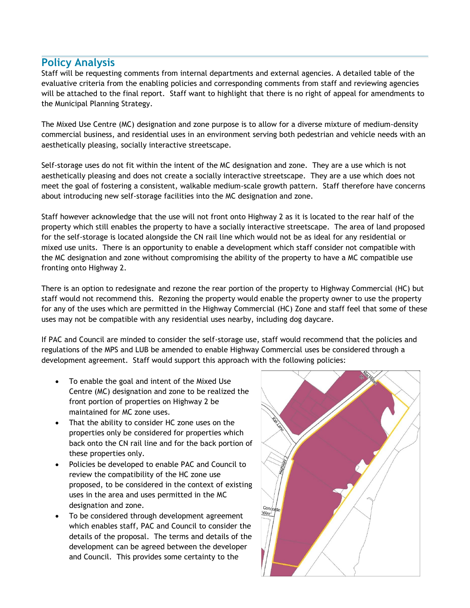# **Policy Analysis**

Staff will be requesting comments from internal departments and external agencies. A detailed table of the evaluative criteria from the enabling policies and corresponding comments from staff and reviewing agencies will be attached to the final report. Staff want to highlight that there is no right of appeal for amendments to the Municipal Planning Strategy.

The Mixed Use Centre (MC) designation and zone purpose is to allow for a diverse mixture of medium-density commercial business, and residential uses in an environment serving both pedestrian and vehicle needs with an aesthetically pleasing, socially interactive streetscape.

Self-storage uses do not fit within the intent of the MC designation and zone. They are a use which is not aesthetically pleasing and does not create a socially interactive streetscape. They are a use which does not meet the goal of fostering a consistent, walkable medium-scale growth pattern. Staff therefore have concerns about introducing new self-storage facilities into the MC designation and zone.

Staff however acknowledge that the use will not front onto Highway 2 as it is located to the rear half of the property which still enables the property to have a socially interactive streetscape. The area of land proposed for the self-storage is located alongside the CN rail line which would not be as ideal for any residential or mixed use units. There is an opportunity to enable a development which staff consider not compatible with the MC designation and zone without compromising the ability of the property to have a MC compatible use fronting onto Highway 2.

There is an option to redesignate and rezone the rear portion of the property to Highway Commercial (HC) but staff would not recommend this. Rezoning the property would enable the property owner to use the property for any of the uses which are permitted in the Highway Commercial (HC) Zone and staff feel that some of these uses may not be compatible with any residential uses nearby, including dog daycare.

If PAC and Council are minded to consider the self-storage use, staff would recommend that the policies and regulations of the MPS and LUB be amended to enable Highway Commercial uses be considered through a development agreement. Staff would support this approach with the following policies:

- To enable the goal and intent of the Mixed Use Centre (MC) designation and zone to be realized the front portion of properties on Highway 2 be maintained for MC zone uses.
- That the ability to consider HC zone uses on the properties only be considered for properties which back onto the CN rail line and for the back portion of these properties only.
- Policies be developed to enable PAC and Council to review the compatibility of the HC zone use proposed, to be considered in the context of existing uses in the area and uses permitted in the MC designation and zone.
- To be considered through development agreement which enables staff, PAC and Council to consider the details of the proposal. The terms and details of the development can be agreed between the developer and Council. This provides some certainty to the

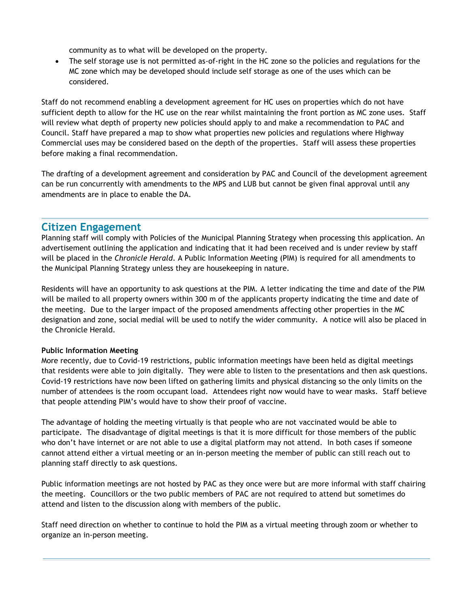community as to what will be developed on the property.

• The self storage use is not permitted as-of-right in the HC zone so the policies and regulations for the MC zone which may be developed should include self storage as one of the uses which can be considered.

Staff do not recommend enabling a development agreement for HC uses on properties which do not have sufficient depth to allow for the HC use on the rear whilst maintaining the front portion as MC zone uses. Staff will review what depth of property new policies should apply to and make a recommendation to PAC and Council. Staff have prepared a map to show what properties new policies and regulations where Highway Commercial uses may be considered based on the depth of the properties. Staff will assess these properties before making a final recommendation.

The drafting of a development agreement and consideration by PAC and Council of the development agreement can be run concurrently with amendments to the MPS and LUB but cannot be given final approval until any amendments are in place to enable the DA.

### **Citizen Engagement**

Planning staff will comply with Policies of the Municipal Planning Strategy when processing this application. An advertisement outlining the application and indicating that it had been received and is under review by staff will be placed in the *Chronicle Herald*. A Public Information Meeting (PIM) is required for all amendments to the Municipal Planning Strategy unless they are housekeeping in nature.

Residents will have an opportunity to ask questions at the PIM. A letter indicating the time and date of the PIM will be mailed to all property owners within 300 m of the applicants property indicating the time and date of the meeting. Due to the larger impact of the proposed amendments affecting other properties in the MC designation and zone, social medial will be used to notify the wider community. A notice will also be placed in the Chronicle Herald.

#### **Public Information Meeting**

More recently, due to Covid-19 restrictions, public information meetings have been held as digital meetings that residents were able to join digitally. They were able to listen to the presentations and then ask questions. Covid-19 restrictions have now been lifted on gathering limits and physical distancing so the only limits on the number of attendees is the room occupant load. Attendees right now would have to wear masks. Staff believe that people attending PIM's would have to show their proof of vaccine.

The advantage of holding the meeting virtually is that people who are not vaccinated would be able to participate. The disadvantage of digital meetings is that it is more difficult for those members of the public who don't have internet or are not able to use a digital platform may not attend. In both cases if someone cannot attend either a virtual meeting or an in-person meeting the member of public can still reach out to planning staff directly to ask questions.

Public information meetings are not hosted by PAC as they once were but are more informal with staff chairing the meeting. Councillors or the two public members of PAC are not required to attend but sometimes do attend and listen to the discussion along with members of the public.

Staff need direction on whether to continue to hold the PIM as a virtual meeting through zoom or whether to organize an in-person meeting.